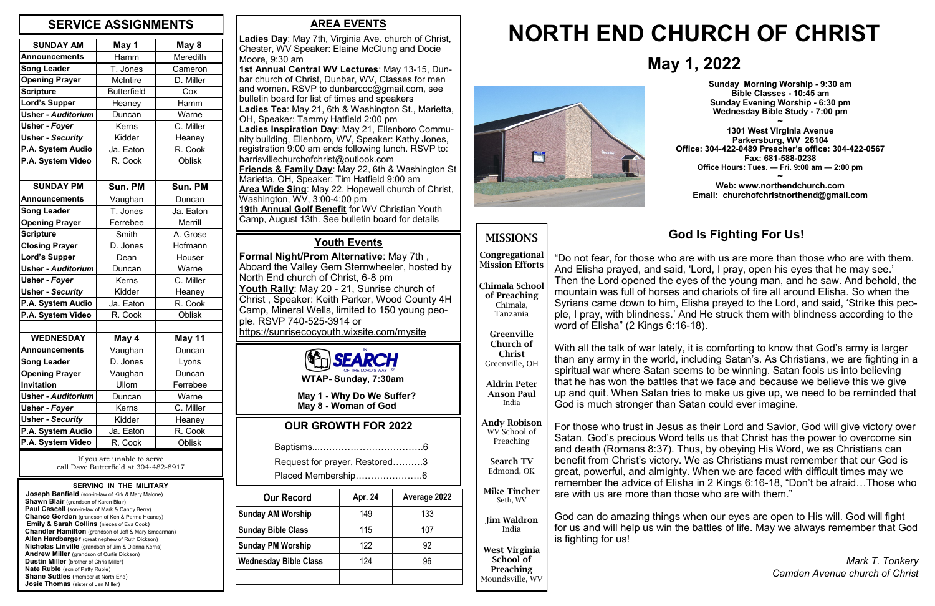### **AREA EVENTS**

**Ladies Day**: May 7th, Virginia Ave. church of Christ, Chester, WV Speaker: Elaine McClung and Docie Moore, 9:30 am **1st Annual Central WV Lectures**: May 13-15, Dunbar church of Christ, Dunbar, WV, Classes for men and women. RSVP to dunbarcoc@gmail.com, see bulletin board for list of times and speakers **Ladies Tea**: May 21, 6th & Washington St., Marietta, OH, Speaker: Tammy Hatfield 2:00 pm **Ladies Inspiration Day**: May 21, Ellenboro Community building, Ellenboro, WV, Speaker: Kathy Jones, registration 9:00 am ends following lunch. RSVP to: harrisvillechurchofchrist@outlook.com **Friends & Family Day**: May 22, 6th & Washington St Marietta, OH, Speaker: Tim Hatfield 9:00 am **Area Wide Sing**: May 22, Hopewell church of Christ, Washington, WV, 3:00-4:00 pm **19th Annual Golf Benefit** for WV Christian Youth Camp, August 13th. See bulletin board for details

**Joseph Banfield** (son-in-law of Kirk & Mary Malone) **Shawn Blair** (grandson of Karen Blair) **Paul Cascell** (son-in-law of Mark & Candy Berry)  **Chance Gordon** (grandson of Ken & Parma Heaney) **Emily & Sarah Collins** (nieces of Eva Cook)  **Chandler Hamilton** (grandson of Jeff & Mary Smearman)  **Allen Hardbarger** (great nephew of Ruth Dickson)  **Nicholas Linville** (grandson of Jim & Dianna Kerns)  **Andrew Miller** (grandson of Curtis Dickson)  **Dustin Miller** (brother of Chris Miller)  **Nate Ruble** (son of Patty Ruble) **Shane Suttles** (member at North End) **Josie Thomas** (sister of Jen Miller)

**Congregational Mission Efforts Chimala Schoo** 

| <b>SUNDAY AM</b>          | May 1              | May 8          |
|---------------------------|--------------------|----------------|
| <b>Announcements</b>      | Hamm               | Meredith       |
| <b>Song Leader</b>        | T. Jones           | Cameron        |
| <b>Opening Prayer</b>     | <b>McIntire</b>    | D. Miller      |
| <b>Scripture</b>          | <b>Butterfield</b> | Cox            |
| <b>Lord's Supper</b>      | Heaney             | Hamm           |
| <b>Usher - Auditorium</b> | Duncan             | Warne          |
| <b>Usher - Foyer</b>      | Kerns              | C. Miller      |
| <b>Usher - Security</b>   | Kidder             | Heaney         |
| P.A. System Audio         | Ja. Eaton          | R. Cook        |
| P.A. System Video         | R. Cook            | <b>Oblisk</b>  |
|                           |                    |                |
| <b>SUNDAY PM</b>          | Sun. PM            | Sun. PM        |
| <b>Announcements</b>      | Vaughan            | Duncan         |
| <b>Song Leader</b>        | T. Jones           | Ja. Eaton      |
| <b>Opening Prayer</b>     | Ferrebee           | <b>Merrill</b> |
| <b>Scripture</b>          | Smith              | A. Grose       |
| <b>Closing Prayer</b>     | D. Jones           | Hofmann        |
| <b>Lord's Supper</b>      | Dean               | Houser         |
| <b>Usher - Auditorium</b> | Duncan             | Warne          |
| Usher - Foyer             | Kerns              | C. Miller      |
| <b>Usher - Security</b>   | Kidder             | Heaney         |
| P.A. System Audio         | Ja. Eaton          | R. Cook        |
| P.A. System Video         | R. Cook            | <b>Oblisk</b>  |
|                           |                    |                |
| <b>WEDNESDAY</b>          | May 4              | May 11         |
| <b>Announcements</b>      | Vaughan            | Duncan         |
| <b>Song Leader</b>        | D. Jones           | Lyons          |
| <b>Opening Prayer</b>     | Vaughan            | Duncan         |
| Invitation                | Ullom              | Ferrebee       |
| <b>Usher - Auditorium</b> | Duncan             | Warne          |
| <b>Usher - Foyer</b>      | Kerns              | C. Miller      |
| <b>Usher - Security</b>   | Kidder             | Heaney         |
| P.A. System Audio         | Ja. Eaton          | R. Cook        |
| P.A. System Video         | R. Cook            | <b>Oblisk</b>  |

# **May 1, 2022**

# **NORTH END CHURCH OF CHRIST**



#### **SERVING IN THE MILITARY**

## **MISSIONS**

**of Preaching** Chimala, Tanzania

**Greenville Church of Christ**

Greenville, OH

**Aldrin Peter Anson Paul** India

**Andy Robison** WV School of Preaching

**Search TV** Edmond, OK

**Mike Tincher** Seth, WV

**Jim Waldron** India

**West Virginia School of Preaching** Moundsville, WV

### **OUR GROWTH FOR 2022**

|--|--|

 Request for prayer, Restored……….3 Placed Membership………………….6

**WTAP- Sunday, 7:30am**

 **May 1 - Why Do We Suffer? May 8 - Woman of God**

**Sunday Morning Worship - 9:30 am Bible Classes - 10:45 am Sunday Evening Worship - 6:30 pm Wednesday Bible Study - 7:00 pm**

**~ 1301 West Virginia Avenue Parkersburg, WV 26104 Office: 304-422-0489 Preacher's office: 304-422-0567 Fax: 681-588-0238 Office Hours: Tues. — Fri. 9:00 am — 2:00 pm ~**

**Web: www.northendchurch.com Email: churchofchristnorthend@gmail.com**

If you are unable to serve call Dave Butterfield at 304-482-8917

### **SERVICE ASSIGNMENTS**

### **Youth Events**

**Formal Night/Prom Alternative**: May 7th , Aboard the Valley Gem Sternwheeler, hosted by North End church of Christ, 6-8 pm **Youth Rally**: May 20 - 21, Sunrise church of Christ , Speaker: Keith Parker, Wood County 4H Camp, Mineral Wells, limited to 150 young people. RSVP 740-525-3914 or https://sunrisecocyouth.wixsite.com/mysite



| <b>Our Record</b>            | Apr. 24 | Average 2022 |
|------------------------------|---------|--------------|
| <b>Sunday AM Worship</b>     | 149     | 133          |
| <b>Sunday Bible Class</b>    | 115     | 107          |
| <b>Sunday PM Worship</b>     | 122     | 92           |
| <b>Wednesday Bible Class</b> | 124     | 96           |
|                              |         |              |

# **God Is Fighting For Us!**

"Do not fear, for those who are with us are more than those who are with them. And Elisha prayed, and said, 'Lord, I pray, open his eyes that he may see.' Then the Lord opened the eyes of the young man, and he saw. And behold, the mountain was full of horses and chariots of fire all around Elisha. So when the Syrians came down to him, Elisha prayed to the Lord, and said, 'Strike this people, I pray, with blindness.' And He struck them with blindness according to the word of Elisha" (2 Kings 6:16-18).

With all the talk of war lately, it is comforting to know that God's army is larger than any army in the world, including Satan's. As Christians, we are fighting in a spiritual war where Satan seems to be winning. Satan fools us into believing that he has won the battles that we face and because we believe this we give up and quit. When Satan tries to make us give up, we need to be reminded that God is much stronger than Satan could ever imagine.

For those who trust in Jesus as their Lord and Savior, God will give victory over Satan. God's precious Word tells us that Christ has the power to overcome sin and death (Romans 8:37). Thus, by obeying His Word, we as Christians can benefit from Christ's victory. We as Christians must remember that our God is great, powerful, and almighty. When we are faced with difficult times may we remember the advice of Elisha in 2 Kings 6:16-18, "Don't be afraid…Those who are with us are more than those who are with them."

God can do amazing things when our eyes are open to His will. God will fight for us and will help us win the battles of life. May we always remember that God is fighting for us!

> *Mark T. Tonkery Camden Avenue church of Christ*